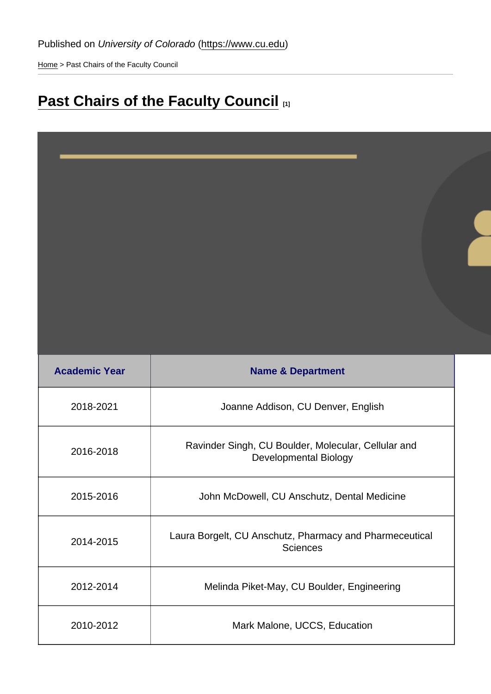[Home](https://www.cu.edu/) > Past Chairs of the Faculty Council

## [Past Chairs of the Faculty Council](https://www.cu.edu/faculty/faculty-council/members/past-chairs-faculty-council) [1]

| <b>Academic Year</b> | Name & Department                                                                   |
|----------------------|-------------------------------------------------------------------------------------|
| 2018-2021            | Joanne Addison, CU Denver, English                                                  |
| 2016-2018            | Ravinder Singh, CU Boulder, Molecular, Cellular and<br><b>Developmental Biology</b> |
| 2015-2016            | John McDowell, CU Anschutz, Dental Medicine                                         |
| 2014-2015            | Laura Borgelt, CU Anschutz, Pharmacy and Pharmeceutical<br><b>Sciences</b>          |
| 2012-2014            | Melinda Piket-May, CU Boulder, Engineering                                          |
| 2010-2012            | Mark Malone, UCCS, Education                                                        |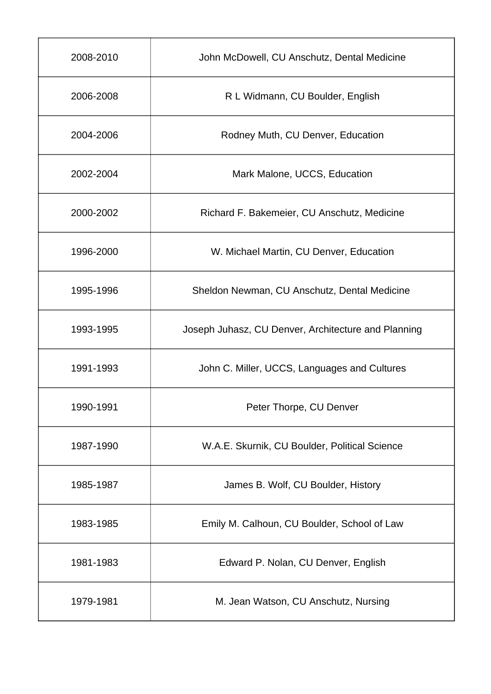| 2008-2010 | John McDowell, CU Anschutz, Dental Medicine         |
|-----------|-----------------------------------------------------|
| 2006-2008 | R L Widmann, CU Boulder, English                    |
| 2004-2006 | Rodney Muth, CU Denver, Education                   |
| 2002-2004 | Mark Malone, UCCS, Education                        |
| 2000-2002 | Richard F. Bakemeier, CU Anschutz, Medicine         |
| 1996-2000 | W. Michael Martin, CU Denver, Education             |
| 1995-1996 | Sheldon Newman, CU Anschutz, Dental Medicine        |
| 1993-1995 | Joseph Juhasz, CU Denver, Architecture and Planning |
| 1991-1993 | John C. Miller, UCCS, Languages and Cultures        |
| 1990-1991 | Peter Thorpe, CU Denver                             |
| 1987-1990 | W.A.E. Skurnik, CU Boulder, Political Science       |
| 1985-1987 | James B. Wolf, CU Boulder, History                  |
| 1983-1985 | Emily M. Calhoun, CU Boulder, School of Law         |
| 1981-1983 | Edward P. Nolan, CU Denver, English                 |
| 1979-1981 | M. Jean Watson, CU Anschutz, Nursing                |